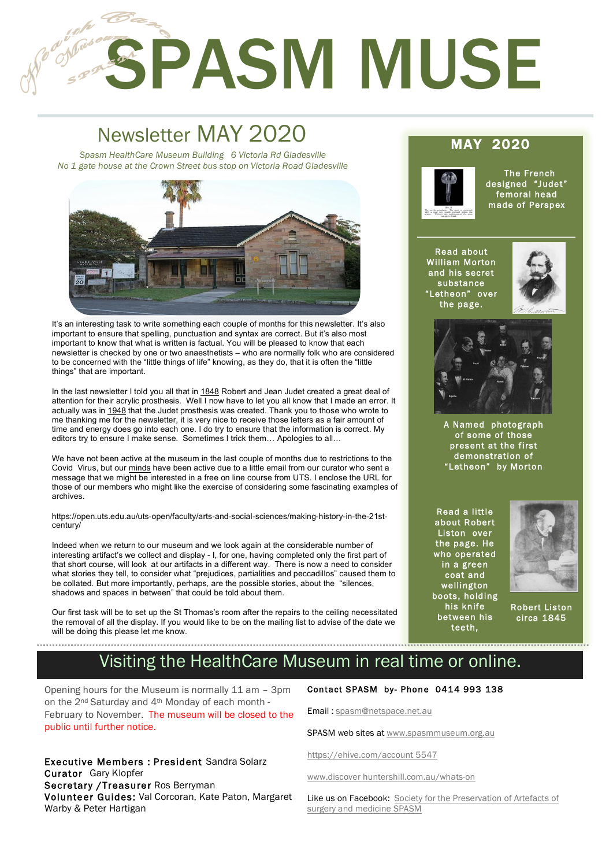# **SPASM MUSE**

## Newsletter MAY 2020 MAY 2020 *Spasm HealthCare Museum Building 6 Victoria Rd Gladesville*

1

2

*No 1 gate house at the Crown Street bus stop on Victoria Road Gladesville*



It's an interesting task to write something each couple of months for this newsletter. It's also important to ensure that spelling, punctuation and syntax are correct. But it's also most important to know that what is written is factual. You will be pleased to know that each newsletter is checked by one or two anaesthetists – who are normally folk who are considered to be concerned with the "little things of life" knowing, as they do, that it is often the "little things" that are important.

In the last newsletter I told you all that in 1848 Robert and Jean Judet created a great deal of attention for their acrylic prosthesis. Well I now have to let you all know that I made an error. It actually was in 1948 that the Judet prosthesis was created. Thank you to those who wrote to me thanking me for the newsletter, it is very nice to receive those letters as a fair amount of time and energy does go into each one. I do try to ensure that the information is correct. My editors try to ensure I make sense. Sometimes I trick them… Apologies to all…

We have not been active at the museum in the last couple of months due to restrictions to the Covid Virus, but our minds have been active due to a little email from our curator who sent a message that we might be interested in a free on line course from UTS. I enclose the URL for those of our members who might like the exercise of considering some fascinating examples of archives.

https://open.uts.edu.au/uts-open/faculty/arts-and-social-sciences/making-history-in-the-21stcentury/

Indeed when we return to our museum and we look again at the considerable number of interesting artifact's we collect and display - I, for one, having completed only the first part of that short course, will look at our artifacts in a different way. There is now a need to consider what stories they tell, to consider what "prejudices, partialities and peccadillos" caused them to be collated. But more importantly, perhaps, are the possible stories, about the "silences, shadows and spaces in between" that could be told about them.

Our first task will be to set up the St Thomas's room after the repairs to the ceiling necessitated the removal of all the display. If you would like to be on the mailing list to advise of the date we will be doing this please let me know.



 The French designed "Judet" femoral head made of Perspex

Read about William Morton and his secret substance "Letheon" over the page.





A Named photograph of some of those present at the first demonstration of "Letheon" by Morton

Read a little about Robert Liston over the page. He who operated in a green coat and wellington boots, holding his knife between his teeth,



Robert Liston circa 1845

# Visiting the HealthCare Museum in real time or online.

Opening hours for the Museum is normally 11 am – 3pm on the 2nd Saturday and 4th Monday of each month - February to November. The museum will be closed to the public until further notice.

Executive Members : President Sandra Solarz Curator Gary Klopfer Secretary / Treasurer Ros Berryman Volunteer Guides: Val Corcoran, Kate Paton, Margaret Warby & Peter Hartigan

#### Contact SPASM by- Phone 0414 993 138

Email : spasm@netspace.net.au

SPASM web sites at www.spasmmuseum.org.au

https://ehive.com/account 5547

www.discover huntershill.com.au/whats-on

Like us on Facebook: Society for the Preservation of Artefacts of surgery and medicine SPASM